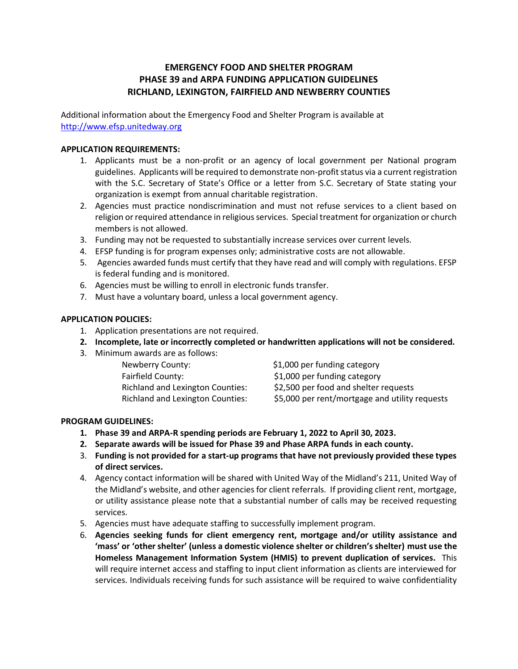# **EMERGENCY FOOD AND SHELTER PROGRAM PHASE 39 and ARPA FUNDING APPLICATION GUIDELINES RICHLAND, LEXINGTON, FAIRFIELD AND NEWBERRY COUNTIES**

Additional information about the Emergency Food and Shelter Program is available at [http://www.efsp.unitedway.org](http://www.efsp.unitedway.org/)

### **APPLICATION REQUIREMENTS:**

- 1. Applicants must be a non-profit or an agency of local government per National program guidelines. Applicants will be required to demonstrate non-profit status via a current registration with the S.C. Secretary of State's Office or a letter from S.C. Secretary of State stating your organization is exempt from annual charitable registration.
- 2. Agencies must practice nondiscrimination and must not refuse services to a client based on religion or required attendance in religious services. Special treatment for organization or church members is not allowed.
- 3. Funding may not be requested to substantially increase services over current levels.
- 4. EFSP funding is for program expenses only; administrative costs are not allowable.
- 5. Agencies awarded funds must certify that they have read and will comply with regulations. EFSP is federal funding and is monitored.
- 6. Agencies must be willing to enroll in electronic funds transfer.
- 7. Must have a voluntary board, unless a local government agency.

## **APPLICATION POLICIES:**

- 1. Application presentations are not required.
- **2. Incomplete, late or incorrectly completed or handwritten applications will not be considered.**
- 3. Minimum awards are as follows:

| Newberry County:                        | \$1,000 per funding category                   |
|-----------------------------------------|------------------------------------------------|
| <b>Fairfield County:</b>                | \$1,000 per funding category                   |
| <b>Richland and Lexington Counties:</b> | \$2,500 per food and shelter requests          |
| <b>Richland and Lexington Counties:</b> | \$5,000 per rent/mortgage and utility requests |

## **PROGRAM GUIDELINES:**

- **1. Phase 39 and ARPA-R spending periods are February 1, 2022 to April 30, 2023.**
- **2. Separate awards will be issued for Phase 39 and Phase ARPA funds in each county.**
- 3. **Funding is not provided for a start-up programs that have not previously provided these types of direct services.**
- 4. Agency contact information will be shared with United Way of the Midland's 211, United Way of the Midland's website, and other agencies for client referrals. If providing client rent, mortgage, or utility assistance please note that a substantial number of calls may be received requesting services.
- 5. Agencies must have adequate staffing to successfully implement program.
- 6. **Agencies seeking funds for client emergency rent, mortgage and/or utility assistance and 'mass' or 'other shelter' (unless a domestic violence shelter or children's shelter) must use the Homeless Management Information System (HMIS) to prevent duplication of services.** This will require internet access and staffing to input client information as clients are interviewed for services. Individuals receiving funds for such assistance will be required to waive confidentiality